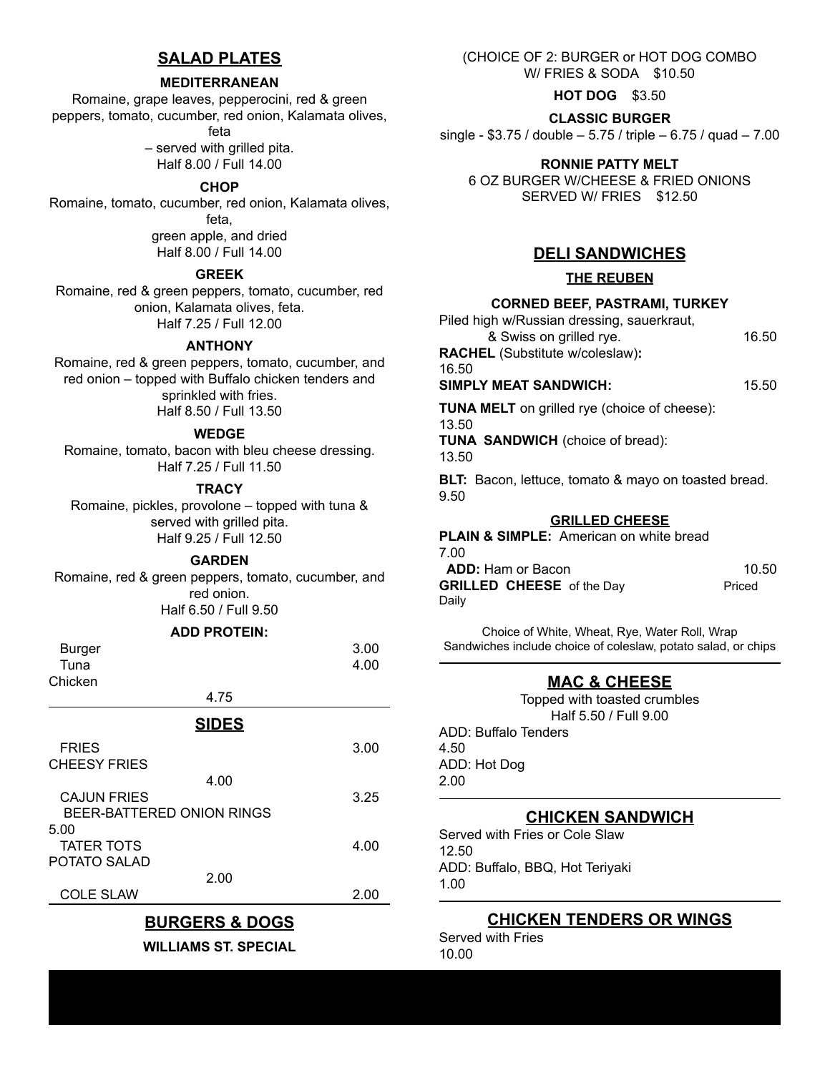## **SALAD PLATES**

#### **MEDITERRANEAN**

Romaine, grape leaves, pepperocini, red & green peppers, tomato, cucumber, red onion, Kalamata olives,

feta

– served with grilled pita. Half 8.00 / Full 14.00

#### **CHOP**

Romaine, tomato, cucumber, red onion, Kalamata olives, feta, green apple, and dried Half 8.00 / Full 14.00

#### **GREEK**

Romaine, red & green peppers, tomato, cucumber, red onion, Kalamata olives, feta. Half 7.25 / Full 12.00

#### **ANTHONY**

Romaine, red & green peppers, tomato, cucumber, and red onion – topped with Buffalo chicken tenders and sprinkled with fries. Half 8.50 / Full 13.50

#### **WEDGE**

Romaine, tomato, bacon with bleu cheese dressing. Half 7.25 / Full 11.50

#### **TRACY**

Romaine, pickles, provolone – topped with tuna & served with grilled pita. Half 9.25 / Full 12.50

**GARDEN**

Romaine, red & green peppers, tomato, cucumber, and red onion. Half 6.50 / Full 9.50

### **ADD PROTEIN:**

| <b>Burger</b>      |                           | 3.00 |
|--------------------|---------------------------|------|
| Tuna               |                           | 4.00 |
| Chicken            |                           |      |
|                    | 4.75                      |      |
|                    | <b>SIDES</b>              |      |
| <b>FRIES</b>       |                           | 3.00 |
| CHEESY FRIES       |                           |      |
|                    | 4.00                      |      |
| <b>CAJUN FRIES</b> |                           | 3.25 |
|                    | BEER-BATTERED ONION RINGS |      |
| 5.00               |                           |      |
| <b>TATER TOTS</b>  |                           | 4.00 |
| POTATO SALAD       |                           |      |
|                    | 2.00                      |      |
|                    |                           |      |

COLE SLAW 2.00

# **BURGERS & DOGS**

**WILLIAMS ST. SPECIAL**

(CHOICE OF 2: BURGER or HOT DOG COMBO W/ FRIES & SODA \$10.50

**HOT DOG** \$3.50

**CLASSIC BURGER**

single - \$3.75 / double – 5.75 / triple – 6.75 / quad – 7.00

#### **RONNIE PATTY MELT**

6 OZ BURGER W/CHEESE & FRIED ONIONS SERVED W/ FRIES \$12.50

### **DELI SANDWICHES**

#### **THE REUBEN**

### **CORNED BEEF, PASTRAMI, TURKEY**

| Piled high w/Russian dressing, sauerkraut, |       |
|--------------------------------------------|-------|
| & Swiss on grilled rye.                    | 16.50 |
| <b>RACHEL</b> (Substitute w/coleslaw):     |       |
| 16.50                                      |       |
| <b>SIMPLY MEAT SANDWICH:</b>               |       |
|                                            |       |

**TUNA MELT** on grilled rye (choice of cheese):

## 13.50

**TUNA SANDWICH** (choice of bread):

13.50

**BLT:** Bacon, lettuce, tomato & mayo on toasted bread. 9.50

### **GRILLED CHEESE**

**PLAIN & SIMPLE:** American on white bread 7.00

| ں ،                              |        |
|----------------------------------|--------|
| <b>ADD:</b> Ham or Bacon         | 10.50  |
| <b>GRILLED CHEESE</b> of the Day | Priced |
| Dailv                            |        |

Choice of White, Wheat, Rye, Water Roll, Wrap Sandwiches include choice of coleslaw, potato salad, or chips

## **MAC & CHEESE**

Topped with toasted crumbles Half 5.50 / Full 9.00 ADD: Buffalo Tenders 4.50 ADD: Hot Dog 2.00

## **CHICKEN SANDWICH**

Served with Fries or Cole Slaw 12.50 ADD: Buffalo, BBQ, Hot Teriyaki 1.00

## **CHICKEN TENDERS OR WINGS**

Served with Fries 10.00